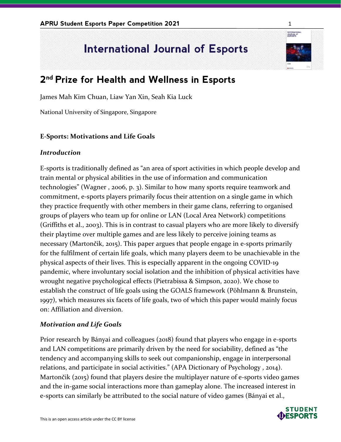# **International Journal of Esports**

# **2 nd Prize for Health and Wellness in Esports**

James Mah Kim Chuan, Liaw Yan Xin, Seah Kia Luck

National University of Singapore, Singapore

# **E-Sports: Motivations and Life Goals**

### *Introduction*

E-sports is traditionally defined as "an area of sport activities in which people develop and train mental or physical abilities in the use of information and communication technologies" (Wagner , 2006, p. 3). Similar to how many sports require teamwork and commitment, e-sports players primarily focus their attention on a single game in which they practice frequently with other members in their game clans, referring to organised groups of players who team up for online or LAN (Local Area Network) competitions (Griffiths et al., 2003). This is in contrast to casual players who are more likely to diversify their playtime over multiple games and are less likely to perceive joining teams as necessary (Martončik, 2015). This paper argues that people engage in e-sports primarily for the fulfilment of certain life goals, which many players deem to be unachievable in the physical aspects of their lives. This is especially apparent in the ongoing COVID-19 pandemic, where involuntary social isolation and the inhibition of physical activities have wrought negative psychological effects (Pietrabissa & Simpson, 2020). We chose to establish the construct of life goals using the GOALS framework (Pöhlmann & Brunstein, 1997), which measures six facets of life goals, two of which this paper would mainly focus on: Affiliation and diversion.

### *Motivation and Life Goals*

Prior research by Bányai and colleagues (2018) found that players who engage in e-sports and LAN competitions are primarily driven by the need for sociability, defined as "the tendency and accompanying skills to seek out companionship, engage in interpersonal relations, and participate in social activities." (APA Dictionary of Psychology , 2014). Martončik (2015) found that players desire the multiplayer nature of e-sports video games and the in-game social interactions more than gameplay alone. The increased interest in e-sports can similarly be attributed to the social nature of video games (Bányai et al.,



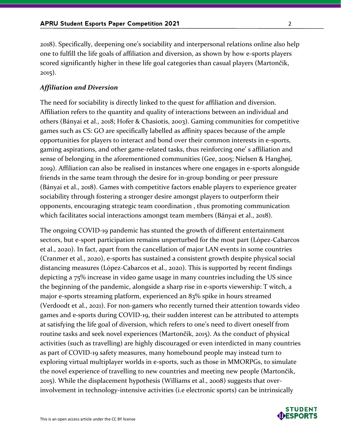2018). Specifically, deepening one's sociability and interpersonal relations online also help one to fulfill the life goals of affiliation and diversion, as shown by how e-sports players scored significantly higher in these life goal categories than casual players (Martončik, 2015).

#### *Affiliation and Diversion*

The need for sociability is directly linked to the quest for affiliation and diversion. Affiliation refers to the quantity and quality of interactions between an individual and others (Bányai et al., 2018; Hofer & Chasiotis, 2003). Gaming communities for competitive games such as CS: GO are specifically labelled as affinity spaces because of the ample opportunities for players to interact and bond over their common interests in e-sports, gaming aspirations, and other game-related tasks, thus reinforcing one' s affiliation and sense of belonging in the aforementioned communities (Gee, 2005; Nielsen & Hanghøj, 2019). Affiliation can also be realised in instances where one engages in e-sports alongside friends in the same team through the desire for in-group bonding or peer pressure (Bányai et al., 2018). Games with competitive factors enable players to experience greater sociability through fostering a stronger desire amongst players to outperform their opponents, encouraging strategic team coordination , thus promoting communication which facilitates social interactions amongst team members (Bányai et al., 2018).

The ongoing COVID-19 pandemic has stunted the growth of different entertainment sectors, but e-sport participation remains unperturbed for the most part (López-Cabarcos et al., 2020). In fact, apart from the cancellation of major LAN events in some countries (Cranmer et al., 2020), e-sports has sustained a consistent growth despite physical social distancing measures (López-Cabarcos et al., 2020). This is supported by recent findings depicting a 75% increase in video game usage in many countries including the US since the beginning of the pandemic, alongside a sharp rise in e-sports viewership: T witch, a major e-sports streaming platform, experienced an 83% spike in hours streamed (Verdoodt et al., 2021). For non-gamers who recently turned their attention towards video games and e-sports during COVID-19, their sudden interest can be attributed to attempts at satisfying the life goal of diversion, which refers to one's need to divert oneself from routine tasks and seek novel experiences (Martončik, 2015). As the conduct of physical activities (such as travelling) are highly discouraged or even interdicted in many countries as part of COVID-19 safety measures, many homebound people may instead turn to exploring virtual multiplayer worlds in e-sports, such as those in MMORPGs, to simulate the novel experience of travelling to new countries and meeting new people (Martončik, 2015). While the displacement hypothesis (Williams et al., 2008) suggests that overinvolvement in technology-intensive activities (i.e electronic sports) can be intrinsically

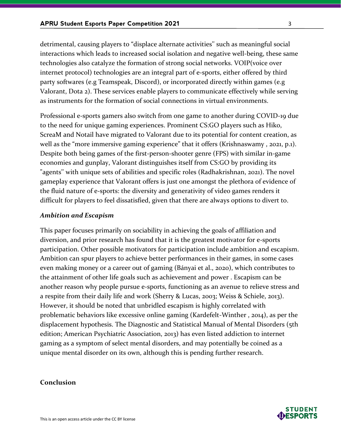detrimental, causing players to "displace alternate activities'' such as meaningful social interactions which leads to increased social isolation and negative well-being, these same technologies also catalyze the formation of strong social networks. VOIP(voice over internet protocol) technologies are an integral part of e-sports, either offered by third party softwares (e.g Teamspeak, Discord), or incorporated directly within games (e.g Valorant, Dota 2). These services enable players to communicate effectively while serving as instruments for the formation of social connections in virtual environments.

Professional e-sports gamers also switch from one game to another during COVID-19 due to the need for unique gaming experiences. Prominent CS:GO players such as Hiko, ScreaM and Notail have migrated to Valorant due to its potential for content creation, as well as the "more immersive gaming experience" that it offers (Krishnaswamy , 2021, p.1). Despite both being games of the first-person-shooter genre (FPS) with similar in-game economies and gunplay, Valorant distinguishes itself from CS:GO by providing its "agents'' with unique sets of abilities and specific roles (Radhakrishnan, 2021). The novel gameplay experience that Valorant offers is just one amongst the plethora of evidence of the fluid nature of e-sports: the diversity and generativity of video games renders it difficult for players to feel dissatisfied, given that there are always options to divert to.

#### *Ambition and Escapism*

This paper focuses primarily on sociability in achieving the goals of affiliation and diversion, and prior research has found that it is the greatest motivator for e-sports participation. Other possible motivators for participation include ambition and escapism. Ambition can spur players to achieve better performances in their games, in some cases even making money or a career out of gaming (Bányai et al., 2020), which contributes to the attainment of other life goals such as achievement and power . Escapism can be another reason why people pursue e-sports, functioning as an avenue to relieve stress and a respite from their daily life and work (Sherry & Lucas, 2003; Weiss & Schiele, 2013). However, it should be noted that unbridled escapism is highly correlated with problematic behaviors like excessive online gaming (Kardefelt-Winther , 2014), as per the displacement hypothesis. The Diagnostic and Statistical Manual of Mental Disorders (5th edition; American Psychiatric Association, 2013) has even listed addiction to internet gaming as a symptom of select mental disorders, and may potentially be coined as a unique mental disorder on its own, although this is pending further research.

#### **Conclusion**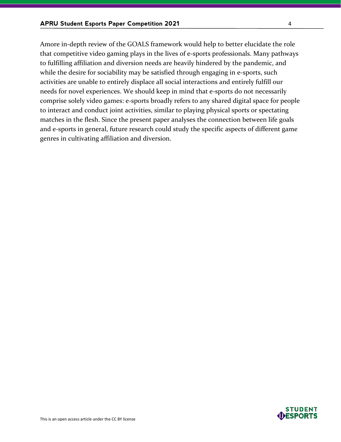Amore in-depth review of the GOALS framework would help to better elucidate the role that competitive video gaming plays in the lives of e-sports professionals. Many pathways to fulfilling affiliation and diversion needs are heavily hindered by the pandemic, and while the desire for sociability may be satisfied through engaging in e-sports, such activities are unable to entirely displace all social interactions and entirely fulfill our needs for novel experiences. We should keep in mind that e-sports do not necessarily comprise solely video games: e-sports broadly refers to any shared digital space for people to interact and conduct joint activities, similar to playing physical sports or spectating matches in the flesh. Since the present paper analyses the connection between life goals and e-sports in general, future research could study the specific aspects of different game genres in cultivating affiliation and diversion.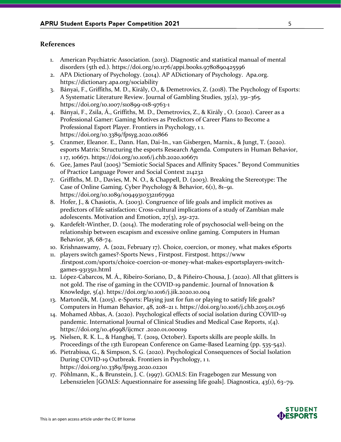## **References**

- 1. American Psychiatric Association. (2013). Diagnostic and statistical manual of mental disorders (5th ed.). https://doi.org/10.1176/appi.books.9780890425596
- 2. APA Dictionary of Psychology. (2014). AP ADictionary of Psychology. Apa.org. https://dictionary.apa.org/sociability
- 3. Bányai, F., Griffiths, M. D., Király, O., & Demetrovics, Z. (2018). The Psychology of Esports: A Systematic Literature Review. Journal of Gambling Studies, 35(2), 351–365. https://doi.org/10.1007/s10899-018-9763-1
- 4. Bányai, F., Zsila, Á., Griffiths, M. D., Demetrovics, Z., & Király , O. (2020). Career as a Professional Gamer: Gaming Motives as Predictors of Career Plans to Become a Professional Esport Player. Frontiers in Psychology, 1 1. https://doi.org/10.3389/fpsyg.2020.01866
- 5. Cranmer, Eleanor. E., Dann. Han, Dai-In., van Gisbergen, Marnix., & Jungt, T. (2020). esports Matrix: Structuring the esports Research Agenda. Computers in Human Behavior, 1 17, 106671. https://doi.org/10.1016/j.chb.2020.106671
- 6. Gee, James Paul (2005) "Semiotic Social Spaces and Affinity Spaces." Beyond Communities of Practice Language Power and Social Context 214232
- 7. Griffiths, M. D., Davies, M. N. O., & Chappell, D. (2003). Breaking the Stereotype: The Case of Online Gaming. Cyber Psychology & Behavior, 6(1), 81–91. https://doi.org/10.1089/109493103321167992
- 8. Hofer, J., & Chasiotis, A. (2003). Congruence of life goals and implicit motives as predictors of life satisfaction: Cross-cultural implications of a study of Zambian male adolescents. Motivation and Emotion, 27(3), 251-272.
- 9. Kardefelt-Winther, D. (2014). The moderating role of psychosocial well-being on the relationship between escapism and excessive online gaming. Computers in Human Behavior, 38, 68-74.
- 10. Krishnaswamy, A. (2021, February 17). Choice, coercion, or money, what makes eSports
- 11. players switch games?-Sports News , Firstpost. Firstpost. https://www .firstpost.com/sports/choice-coercion-or-money-what-makes-esportsplayers-switchgames-9313511.html
- 12. López-Cabarcos, M. Á., Ribeiro-Soriano, D., & Piñeiro-Chousa, J. (2020). All that glitters is not gold. The rise of gaming in the COVID-19 pandemic. Journal of Innovation & Knowledge, 5(4). https://doi.org/10.1016/j.jik.2020.10.004
- 13. Martončik, M. (2015). e-Sports: Playing just for fun or playing to satisfy life goals? Computers in Human Behavior, 48, 208–21 1. https://doi.org/10.1016/j.chb.2015.01.056
- 14. Mohamed Abbas, A. (2020). Psychological effects of social isolation during COVID-19 pandemic. International Journal of Clinical Studies and Medical Case Reports, 1(4). https://doi.org/10.46998/ijcmcr .2020.01.000019
- 15. Nielsen, R. K. L., & Hanghøj, T. (2019, October). Esports skills are people skills. In Proceedings of the 13th European Conference on Game-Based Learning (pp. 535-542).
- 16. Pietrabissa, G., & Simpson, S. G. (2020). Psychological Consequences of Social Isolation During COVID-19 Outbreak. Frontiers in Psychology, 1 1. https://doi.org/10.3389/fpsyg.2020.02201
- 17. Pöhlmann, K., & Brunstein, J. C. (1997). GOALS: Ein Fragebogen zur Messung von Lebenszielen [GOALS: Aquestionnaire for assessing life goals]. Diagnostica, 43(1), 63–79.